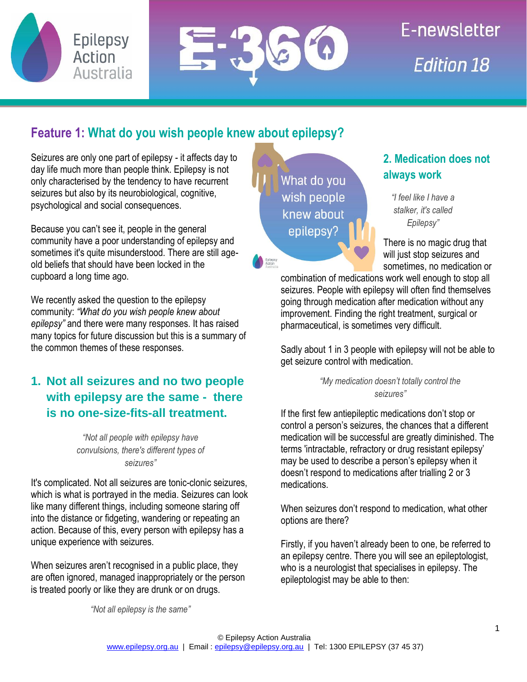



Epilepsy<br>Action

# E-newsletter **Edition 18**

# **Feature 1: What do you wish people knew about epilepsy?**

Seizures are only one part of epilepsy - it affects day to day life much more than people think. Epilepsy is not only characterised by the tendency to have recurrent seizures but also by its neurobiological, cognitive, psychological and social consequences.

Because you can't see it, people in the general community have a poor understanding of epilepsy and sometimes it's quite misunderstood. There are still ageold beliefs that should have been locked in the cupboard a long time ago.

We recently asked the question to the epilepsy community: *"What do you wish people knew about epilepsy"* and there were many responses. It has raised many topics for future discussion but this is a summary of the common themes of these responses.

## **1. Not all seizures and no two people with epilepsy are the same - there is no one-size-fits-all treatment.**

*"Not all people with epilepsy have convulsions, there's different types of seizures"*

It's complicated. Not all seizures are tonic-clonic seizures, which is what is portrayed in the media. Seizures can look like many different things, including someone staring off into the distance or fidgeting, wandering or repeating an action. Because of this, every person with epilepsy has a unique experience with seizures.

When seizures aren't recognised in a public place, they are often ignored, managed inappropriately or the person is treated poorly or like they are drunk or on drugs.

What do you wish people knew about epilepsy?

# **2. Medication does not always work**

*"I feel like I have a stalker, it's called Epilepsy"*

There is no magic drug that will just stop seizures and sometimes, no medication or

combination of medications work well enough to stop all seizures. People with epilepsy will often find themselves going through medication after medication without any improvement. Finding the right treatment, surgical or pharmaceutical, is sometimes very difficult.

Sadly about 1 in 3 people with epilepsy will not be able to get seizure control with medication.

> *"My medication doesn't totally control the seizures"*

If the first few antiepileptic medications don't stop or control a person's seizures, the chances that a different medication will be successful are greatly diminished. The terms 'intractable, refractory or drug resistant epilepsy' may be used to describe a person's epilepsy when it doesn't respond to medications after trialling 2 or 3 medications.

When seizures don't respond to medication, what other options are there?

Firstly, if you haven't already been to one, be referred to an epilepsy centre. There you will see an epileptologist, who is a neurologist that specialises in epilepsy. The epileptologist may be able to then:

*"Not all epilepsy is the same"*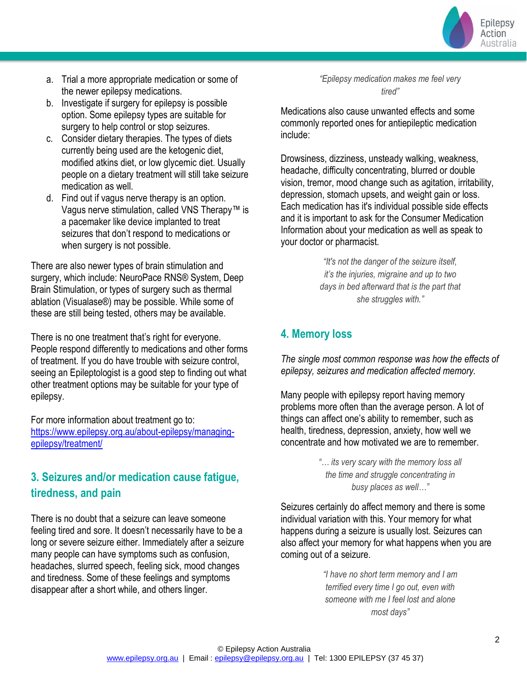

- a. Trial a more appropriate medication or some of the newer epilepsy medications.
- b. Investigate if surgery for epilepsy is possible option. Some epilepsy types are suitable for surgery to help control or stop seizures.
- c. Consider dietary therapies. The types of diets currently being used are the ketogenic diet, modified atkins diet, or low glycemic diet. Usually people on a dietary treatment will still take seizure medication as well.
- d. Find out if vagus nerve therapy is an option. Vagus nerve stimulation, called VNS Therapy™ is a pacemaker like device implanted to treat seizures that don't respond to medications or when surgery is not possible.

There are also newer types of brain stimulation and surgery, which include: NeuroPace RNS® System, Deep Brain Stimulation, or types of surgery such as thermal ablation (Visualase®) may be possible. While some of these are still being tested, others may be available.

There is no one treatment that's right for everyone. People respond differently to medications and other forms of treatment. If you do have trouble with seizure control, seeing an Epileptologist is a good step to finding out what other treatment options may be suitable for your type of epilepsy.

For more information about treatment go to: [https://www.epilepsy.org.au/about-epilepsy/managing](https://www.epilepsy.org.au/about-epilepsy/managing-epilepsy/treatment/)[epilepsy/treatment/](https://www.epilepsy.org.au/about-epilepsy/managing-epilepsy/treatment/)

### **3. Seizures and/or medication cause fatigue, tiredness, and pain**

There is no doubt that a seizure can leave someone feeling tired and sore. It doesn't necessarily have to be a long or severe seizure either. Immediately after a seizure many people can have symptoms such as confusion, headaches, slurred speech, feeling sick, mood changes and tiredness. Some of these feelings and symptoms disappear after a short while, and others linger.

*"Epilepsy medication makes me feel very tired"*

Medications also cause unwanted effects and some commonly reported ones for antiepileptic medication include:

Drowsiness, dizziness, unsteady walking, weakness, headache, difficulty concentrating, blurred or double vision, tremor, mood change such as agitation, irritability, depression, stomach upsets, and weight gain or loss. Each medication has it's individual possible side effects and it is important to ask for the Consumer Medication Information about your medication as well as speak to your doctor or pharmacist.

> *"It's not the danger of the seizure itself, it's the injuries, migraine and up to two days in bed afterward that is the part that she struggles with."*

### **4. Memory loss**

*The single most common response was how the effects of epilepsy, seizures and medication affected memory.*

Many people with epilepsy report having memory problems more often than the average person. A lot of things can affect one's ability to remember, such as health, tiredness, depression, anxiety, how well we concentrate and how motivated we are to remember.

> *"… its very scary with the memory loss all the time and struggle concentrating in busy places as well…"*

Seizures certainly do affect memory and there is some individual variation with this. Your memory for what happens during a seizure is usually lost. Seizures can also affect your memory for what happens when you are coming out of a seizure.

> *"I have no short term memory and I am terrified every time I go out, even with someone with me I feel lost and alone most days"*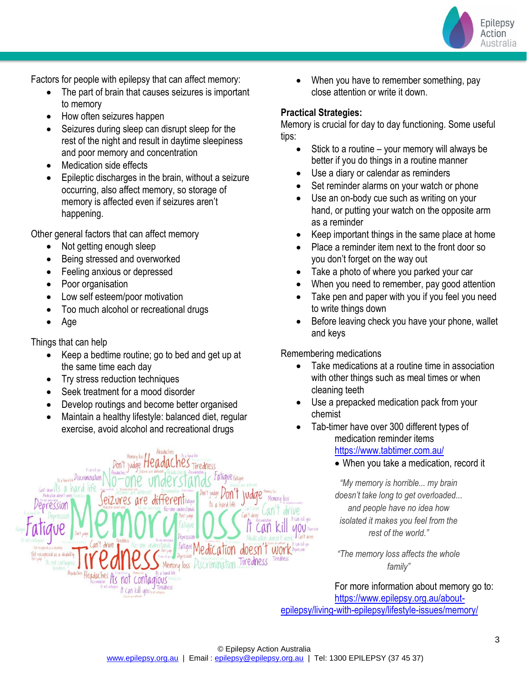

Factors for people with epilepsy that can affect memory:

- The part of brain that causes seizures is important to memory
- How often seizures happen
- Seizures during sleep can disrupt sleep for the rest of the night and result in daytime sleepiness and poor memory and concentration
- Medication side effects
- Epileptic discharges in the brain, without a seizure occurring, also affect memory, so storage of memory is affected even if seizures aren't happening.

Other general factors that can affect memory

- Not getting enough sleep
- Being stressed and overworked
- Feeling anxious or depressed
- Poor organisation
- Low self esteem/poor motivation
- Too much alcohol or recreational drugs
- Age

Things that can help

As a hard life Discrimination

Can't drop / IS a hard

ession

- Keep a bedtime routine; go to bed and get up at the same time each day
- Try stress reduction techniques
- Seek treatment for a mood disorder
- Develop routings and become better organised

Don't judge He

Its not contagious

A can kill you ...

Tiredness

• Maintain a healthy lifestyle: balanced diet, regular exercise, avoid alcohol and recreational drugs

• When you have to remember something, pay close attention or write it down.

#### **Practical Strategies:**

Memory is crucial for day to day functioning. Some useful tips:

- Stick to a routine your memory will always be better if you do things in a routine manner
- Use a diary or calendar as reminders
- Set reminder alarms on your watch or phone
- Use an on-body cue such as writing on your hand, or putting your watch on the opposite arm as a reminder
- Keep important things in the same place at home
- Place a reminder item next to the front door so you don't forget on the way out
- Take a photo of where you parked your car
- When you need to remember, pay good attention
- Take pen and paper with you if you feel you need to write things down
- Before leaving check you have your phone, wallet and keys

#### Remembering medications

- Take medications at a routine time in association with other things such as meal times or when cleaning teeth
- Use a prepacked medication pack from your chemist
- Tab-timer have over 300 different types of medication reminder items <https://www.tabtimer.com.au/>
	- When you take a medication, record it

*"My memory is horrible... my brain doesn't take long to get overloaded... and people have no idea how isolated it makes you feel from the rest of the world."*

*"The memory loss affects the whole family"*

For more information about memory go to: [https://www.epilepsy.org.au/about](https://www.epilepsy.org.au/about-epilepsy/living-with-epilepsy/lifestyle-issues/memory/)[epilepsy/living-with-epilepsy/lifestyle-issues/memory/](https://www.epilepsy.org.au/about-epilepsy/living-with-epilepsy/lifestyle-issues/memory/)

Memory loss

an't drive

 $U(0)$ 

atique Fatique

 $d$ 0 $e$ sn

Its a hard life

mory loss Discrimination Tiredness

Fatigue Medic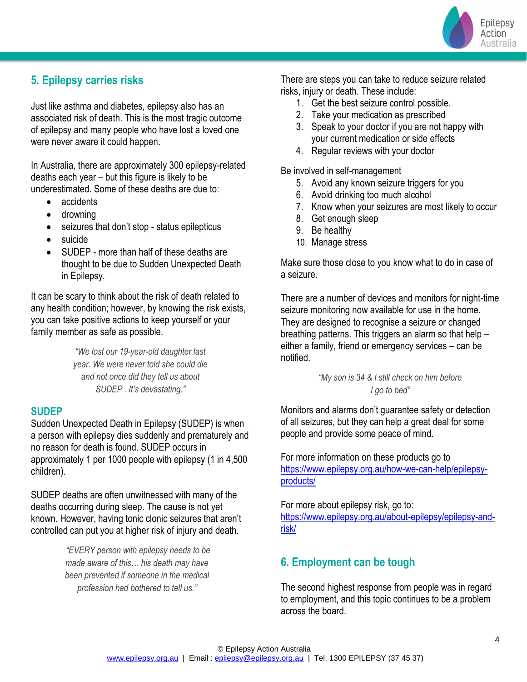

### **5. Epilepsy carries risks**

Just like asthma and diabetes, epilepsy also has an associated risk of death. This is the most tragic outcome of epilepsy and many people who have lost a loved one were never aware it could happen.

In Australia, there are approximately 300 epilepsy-related deaths each year – but this figure is likely to be underestimated. Some of these deaths are due to:

- accidents
- drowning
- seizures that don't stop status epilepticus
- suicide
- SUDEP more than half of these deaths are thought to be due to Sudden Unexpected Death in Epilepsy.

It can be scary to think about the risk of death related to any health condition; however, by knowing the risk exists, you can take positive actions to keep yourself or your family member as safe as possible.

> *"We lost our 19-year-old daughter last year. We were never told she could die and not once did they tell us about SUDEP . It's devastating."*

### **SUDEP**

Sudden Unexpected Death in Epilepsy (SUDEP) is when a person with epilepsy dies suddenly and prematurely and no reason for death is found. SUDEP occurs in approximately 1 per 1000 people with epilepsy (1 in 4,500 children).

SUDEP deaths are often unwitnessed with many of the deaths occurring during sleep. The cause is not yet known. However, having tonic clonic seizures that aren't controlled can put you at higher risk of injury and death.

> *"EVERY person with epilepsy needs to be made aware of this… his death may have been prevented if someone in the medical profession had bothered to tell us."*

There are steps you can take to reduce seizure related risks, injury or death. These include:

- 1. Get the best seizure control possible.
- 2. Take your medication as prescribed
- 3. Speak to your doctor if you are not happy with your current medication or side effects
- 4. Regular reviews with your doctor

Be involved in self-management

- 5. Avoid any known seizure triggers for you
- 6. Avoid drinking too much alcohol
- 7. Know when your seizures are most likely to occur
- 8. Get enough sleep
- 9. Be healthy
- 10. Manage stress

Make sure those close to you know what to do in case of a seizure.

There are a number of devices and monitors for night-time seizure monitoring now available for use in the home. They are designed to recognise a seizure or changed breathing patterns. This triggers an alarm so that help – either a family, friend or emergency services – can be notified.

#### *"My son is 34 & I still check on him before I go to bed"*

Monitors and alarms don't guarantee safety or detection of all seizures, but they can help a great deal for some people and provide some peace of mind.

For more information on these products go to [https://www.epilepsy.org.au/how-we-can-help/epilepsy](https://www.epilepsy.org.au/how-we-can-help/epilepsy-products/)[products/](https://www.epilepsy.org.au/how-we-can-help/epilepsy-products/)

For more about epilepsy risk, go to: [https://www.epilepsy.org.au/about-epilepsy/epilepsy-and](https://www.epilepsy.org.au/about-epilepsy/epilepsy-and-risk/)[risk/](https://www.epilepsy.org.au/about-epilepsy/epilepsy-and-risk/)

### **6. Employment can be tough**

The second highest response from people was in regard to employment, and this topic continues to be a problem across the board.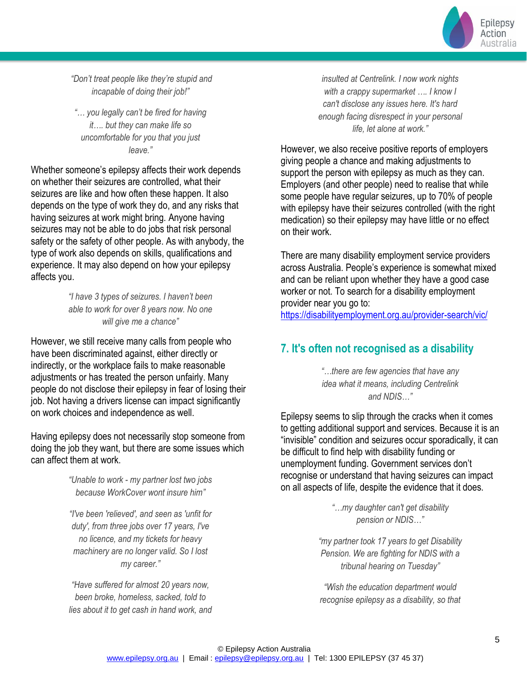

*"Don't treat people like they're stupid and incapable of doing their job!"*

*"… you legally can't be fired for having it…. but they can make life so uncomfortable for you that you just leave."*

Whether someone's epilepsy affects their work depends on whether their seizures are controlled, what their seizures are like and how often these happen. It also depends on the type of work they do, and any risks that having seizures at work might bring. Anyone having seizures may not be able to do jobs that risk personal safety or the safety of other people. As with anybody, the type of work also depends on skills, qualifications and experience. It may also depend on how your epilepsy affects you.

> *"I have 3 types of seizures. I haven't been able to work for over 8 years now. No one will give me a chance"*

However, we still receive many calls from people who have been discriminated against, either directly or indirectly, or the workplace fails to make reasonable adjustments or has treated the person unfairly. Many people do not disclose their epilepsy in fear of losing their job. Not having a drivers license can impact significantly on work choices and independence as well.

Having epilepsy does not necessarily stop someone from doing the job they want, but there are some issues which can affect them at work.

> *"Unable to work - my partner lost two jobs because WorkCover wont insure him"*

> *"I've been 'relieved', and seen as 'unfit for duty', from three jobs over 17 years, I've no licence, and my tickets for heavy machinery are no longer valid. So I lost my career."*

> *"Have suffered for almost 20 years now, been broke, homeless, sacked, told to lies about it to get cash in hand work, and*

*insulted at Centrelink. I now work nights with a crappy supermarket …. I know I can't disclose any issues here. It's hard enough facing disrespect in your personal life, let alone at work."*

However, we also receive positive reports of employers giving people a chance and making adjustments to support the person with epilepsy as much as they can. Employers (and other people) need to realise that while some people have regular seizures, up to 70% of people with epilepsy have their seizures controlled (with the right medication) so their epilepsy may have little or no effect on their work.

There are many disability employment service providers across Australia. People's experience is somewhat mixed and can be reliant upon whether they have a good case worker or not. To search for a disability employment provider near you go to:

<https://disabilityemployment.org.au/provider-search/vic/>

### **7. It's often not recognised as a disability**

*"…there are few agencies that have any idea what it means, including Centrelink and NDIS…"*

Epilepsy seems to slip through the cracks when it comes to getting additional support and services. Because it is an "invisible" condition and seizures occur sporadically, it can be difficult to find help with disability funding or unemployment funding. Government services don't recognise or understand that having seizures can impact on all aspects of life, despite the evidence that it does.

> *"…my daughter can't get disability pension or NDIS…"*

*"my partner took 17 years to get Disability Pension. We are fighting for NDIS with a tribunal hearing on Tuesday"*

*"Wish the education department would recognise epilepsy as a disability, so that*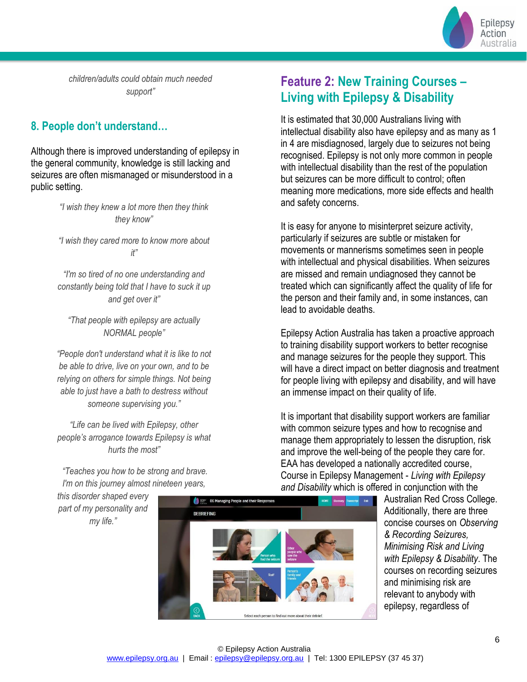

*children/adults could obtain much needed support"*

### **8. People don't understand…**

Although there is improved understanding of epilepsy in the general community, knowledge is still lacking and seizures are often mismanaged or misunderstood in a public setting.

> *"I wish they knew a lot more then they think they know"*

> *"I wish they cared more to know more about it"*

> *"I'm so tired of no one understanding and constantly being told that I have to suck it up and get over it"*

*"That people with epilepsy are actually NORMAL people"*

*"People don't understand what it is like to not be able to drive, live on your own, and to be relying on others for simple things. Not being able to just have a bath to destress without someone supervising you."*

*"Life can be lived with Epilepsy, other people's arrogance towards Epilepsy is what hurts the most"*

*"Teaches you how to be strong and brave. I'm on this journey almost nineteen years,* 

*this disorder shaped every part of my personality and my life."*



# **Feature 2: New Training Courses – Living with Epilepsy & Disability**

It is estimated that 30,000 Australians living with intellectual disability also have epilepsy and as many as 1 in 4 are misdiagnosed, largely due to seizures not being recognised. Epilepsy is not only more common in people with intellectual disability than the rest of the population but seizures can be more difficult to control; often meaning more medications, more side effects and health and safety concerns.

It is easy for anyone to misinterpret seizure activity, particularly if seizures are subtle or mistaken for movements or mannerisms sometimes seen in people with intellectual and physical disabilities. When seizures are missed and remain undiagnosed they cannot be treated which can significantly affect the quality of life for the person and their family and, in some instances, can lead to avoidable deaths.

Epilepsy Action Australia has taken a proactive approach to training disability support workers to better recognise and manage seizures for the people they support. This will have a direct impact on better diagnosis and treatment for people living with epilepsy and disability, and will have an immense impact on their quality of life.

It is important that disability support workers are familiar with common seizure types and how to recognise and manage them appropriately to lessen the disruption, risk and improve the well-being of the people they care for. EAA has developed a nationally accredited course, Course in Epilepsy Management - *Living with Epilepsy and Disability* which is offered in conjunction with the

> Australian Red Cross College. Additionally, there are three concise courses on *Observing & Recording Seizures, Minimising Risk and Living with Epilepsy & Disability*. The courses on recording seizures and minimising risk are relevant to anybody with epilepsy, regardless of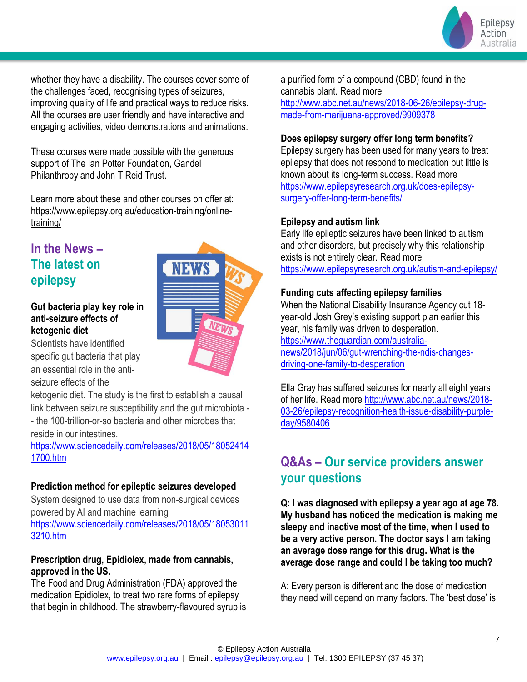

whether they have a disability. The courses cover some of the challenges faced, recognising types of seizures, improving quality of life and practical ways to reduce risks. All the courses are user friendly and have interactive and engaging activities, video demonstrations and animations.

These courses were made possible with the generous support of The Ian Potter Foundation, Gandel Philanthropy and John T Reid Trust.

Learn more about these and other courses on offer at: [https://www.epilepsy.org.au/education-training/online](https://www.epilepsy.org.au/education-training/online-training/)[training/](https://www.epilepsy.org.au/education-training/online-training/)

# **In the News – The latest on epilepsy**

#### **Gut bacteria play key role in anti-seizure effects of ketogenic diet**

Scientists have identified specific gut bacteria that play an essential role in the antiseizure effects of the

ketogenic diet. The study is the first to establish a causal link between seizure susceptibility and the gut microbiota - - the 100-trillion-or-so bacteria and other microbes that reside in our intestines.

[https://www.sciencedaily.com/releases/2018/05/18052414](https://www.sciencedaily.com/releases/2018/05/180524141700.htm) [1700.htm](https://www.sciencedaily.com/releases/2018/05/180524141700.htm)

### **Prediction method for epileptic seizures developed**

System designed to use data from non-surgical devices powered by AI and machine learning

[https://www.sciencedaily.com/releases/2018/05/18053011](https://www.sciencedaily.com/releases/2018/05/180530113210.htm) [3210.htm](https://www.sciencedaily.com/releases/2018/05/180530113210.htm)

### **Prescription drug, Epidiolex, made from cannabis, approved in the US.**

The Food and Drug Administration (FDA) approved the medication Epidiolex, to treat two rare forms of epilepsy that begin in childhood. The strawberry-flavoured syrup is a purified form of a compound (CBD) found in the cannabis plant. Read more [http://www.abc.net.au/news/2018-06-26/epilepsy-drug](http://www.abc.net.au/news/2018-06-26/epilepsy-drug-made-from-marijuana-approved/9909378)[made-from-marijuana-approved/9909378](http://www.abc.net.au/news/2018-06-26/epilepsy-drug-made-from-marijuana-approved/9909378)

### **Does epilepsy surgery offer long term benefits?**

Epilepsy surgery has been used for many years to treat epilepsy that does not respond to medication but little is known about its long-term success. Read more [https://www.epilepsyresearch.org.uk/does-epilepsy](https://www.epilepsyresearch.org.uk/does-epilepsy-surgery-offer-long-term-benefits/)[surgery-offer-long-term-benefits/](https://www.epilepsyresearch.org.uk/does-epilepsy-surgery-offer-long-term-benefits/)

### **Epilepsy and autism link**

Early life epileptic seizures have been linked to autism and other disorders, but precisely why this relationship exists is not entirely clear. Read more <https://www.epilepsyresearch.org.uk/autism-and-epilepsy/>

#### **Funding cuts affecting epilepsy families**

When the National Disability Insurance Agency cut 18 year-old Josh Grey's existing support plan earlier this year, his family was driven to desperation. [https://www.theguardian.com/australia](https://www.theguardian.com/australia-news/2018/jun/06/gut-wrenching-the-ndis-changes-driving-one-family-to-desperation)[news/2018/jun/06/gut-wrenching-the-ndis-changes](https://www.theguardian.com/australia-news/2018/jun/06/gut-wrenching-the-ndis-changes-driving-one-family-to-desperation)[driving-one-family-to-desperation](https://www.theguardian.com/australia-news/2018/jun/06/gut-wrenching-the-ndis-changes-driving-one-family-to-desperation)

Ella Gray has suffered seizures for nearly all eight years of her life. Read mor[e http://www.abc.net.au/news/2018-](http://www.abc.net.au/news/2018-03-26/epilepsy-recognition-health-issue-disability-purple-day/9580406) [03-26/epilepsy-recognition-health-issue-disability-purple](http://www.abc.net.au/news/2018-03-26/epilepsy-recognition-health-issue-disability-purple-day/9580406)[day/9580406](http://www.abc.net.au/news/2018-03-26/epilepsy-recognition-health-issue-disability-purple-day/9580406)

## **Q&As – Our service providers answer your questions**

**Q: I was diagnosed with epilepsy a year ago at age 78. My husband has noticed the medication is making me sleepy and inactive most of the time, when I used to be a very active person. The doctor says I am taking an average dose range for this drug. What is the average dose range and could I be taking too much?**

A: Every person is different and the dose of medication they need will depend on many factors. The 'best dose' is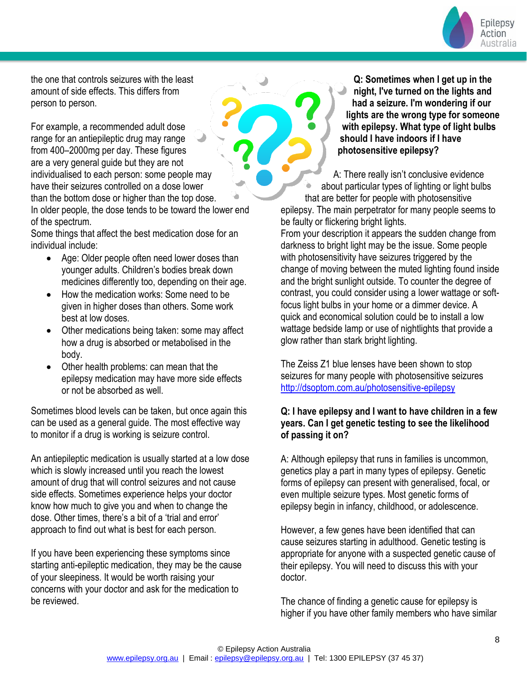

the one that controls seizures with the least amount of side effects. This differs from person to person.

For example, a recommended adult dose range for an antiepileptic drug may range from 400–2000mg per day. These figures are a very general guide but they are not individualised to each person: some people may have their seizures controlled on a dose lower than the bottom dose or higher than the top dose. In older people, the dose tends to be toward the lower end of the spectrum.

Some things that affect the best medication dose for an individual include:

- Age: Older people often need lower doses than younger adults. Children's bodies break down medicines differently too, depending on their age.
- How the medication works: Some need to be given in higher doses than others. Some work best at low doses.
- Other medications being taken: some may affect how a drug is absorbed or metabolised in the body.
- Other health problems: can mean that the epilepsy medication may have more side effects or not be absorbed as well.

Sometimes blood levels can be taken, but once again this can be used as a general guide. The most effective way to monitor if a drug is working is seizure control.

An antiepileptic medication is usually started at a low dose which is slowly increased until you reach the lowest amount of drug that will control seizures and not cause side effects. Sometimes experience helps your doctor know how much to give you and when to change the dose. Other times, there's a bit of a 'trial and error' approach to find out what is best for each person.

If you have been experiencing these symptoms since starting anti-epileptic medication, they may be the cause of your sleepiness. It would be worth raising your concerns with your doctor and ask for the medication to be reviewed.

**Q: Sometimes when I get up in the night, I've turned on the lights and had a seizure. I'm wondering if our lights are the wrong type for someone with epilepsy. What type of light bulbs should I have indoors if I have photosensitive epilepsy?**

A: There really isn't conclusive evidence about particular types of lighting or light bulbs that are better for people with photosensitive

epilepsy. The main perpetrator for many people seems to be faulty or flickering bright lights.

From your description it appears the sudden change from darkness to bright light may be the issue. Some people with photosensitivity have seizures triggered by the change of moving between the muted lighting found inside and the bright sunlight outside. To counter the degree of contrast, you could consider using a lower wattage or softfocus light bulbs in your home or a dimmer device. A quick and economical solution could be to install a low wattage bedside lamp or use of nightlights that provide a glow rather than stark bright lighting.

The Zeiss Z1 blue lenses have been shown to stop seizures for many people with photosensitive seizures <http://dsoptom.com.au/photosensitive-epilepsy>

### **Q: I have epilepsy and I want to have children in a few years. Can I get genetic testing to see the likelihood of passing it on?**

A: Although epilepsy that runs in families is uncommon, genetics play a part in many types of epilepsy. Genetic forms of epilepsy can present with generalised, focal, or even multiple seizure types. Most genetic forms of epilepsy begin in infancy, childhood, or adolescence.

However, a few genes have been identified that can cause seizures starting in adulthood. Genetic testing is appropriate for anyone with a suspected genetic cause of their epilepsy. You will need to discuss this with your doctor.

The chance of finding a genetic cause for epilepsy is higher if you have other family members who have similar